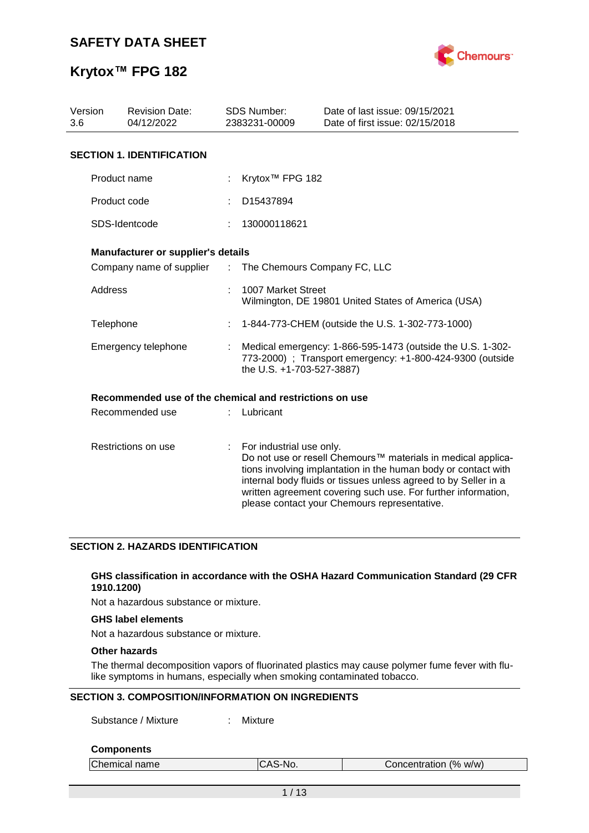

## **Krytox™ FPG 182**

| Version<br>3.6 | <b>Revision Date:</b><br>04/12/2022                     |                               | <b>SDS Number:</b><br>2383231-00009                                                                                                                  | Date of last issue: 09/15/2021<br>Date of first issue: 02/15/2018                                                                                                                                                                                                                                                  |  |  |
|----------------|---------------------------------------------------------|-------------------------------|------------------------------------------------------------------------------------------------------------------------------------------------------|--------------------------------------------------------------------------------------------------------------------------------------------------------------------------------------------------------------------------------------------------------------------------------------------------------------------|--|--|
|                | <b>SECTION 1. IDENTIFICATION</b>                        |                               |                                                                                                                                                      |                                                                                                                                                                                                                                                                                                                    |  |  |
|                | Product name                                            |                               | Krytox <sup>™</sup> FPG 182                                                                                                                          |                                                                                                                                                                                                                                                                                                                    |  |  |
|                | Product code                                            |                               | D15437894                                                                                                                                            |                                                                                                                                                                                                                                                                                                                    |  |  |
|                | SDS-Identcode                                           |                               | 130000118621                                                                                                                                         |                                                                                                                                                                                                                                                                                                                    |  |  |
|                | Manufacturer or supplier's details                      |                               |                                                                                                                                                      |                                                                                                                                                                                                                                                                                                                    |  |  |
|                | Company name of supplier                                | $\mathcal{I}^{\mathcal{I}}$ . | The Chemours Company FC, LLC                                                                                                                         |                                                                                                                                                                                                                                                                                                                    |  |  |
| Address        |                                                         |                               | 1007 Market Street                                                                                                                                   | Wilmington, DE 19801 United States of America (USA)                                                                                                                                                                                                                                                                |  |  |
|                | Telephone                                               |                               | 1-844-773-CHEM (outside the U.S. 1-302-773-1000)                                                                                                     |                                                                                                                                                                                                                                                                                                                    |  |  |
|                | Emergency telephone                                     |                               | Medical emergency: 1-866-595-1473 (outside the U.S. 1-302-<br>773-2000) ; Transport emergency: +1-800-424-9300 (outside<br>the U.S. +1-703-527-3887) |                                                                                                                                                                                                                                                                                                                    |  |  |
|                | Recommended use of the chemical and restrictions on use |                               |                                                                                                                                                      |                                                                                                                                                                                                                                                                                                                    |  |  |
|                | Recommended use                                         |                               | Lubricant                                                                                                                                            |                                                                                                                                                                                                                                                                                                                    |  |  |
|                | Restrictions on use                                     | $\mathbb{Z}^{\mathbb{Z}}$     | For industrial use only.                                                                                                                             | Do not use or resell Chemours™ materials in medical applica-<br>tions involving implantation in the human body or contact with<br>internal body fluids or tissues unless agreed to by Seller in a<br>written agreement covering such use. For further information,<br>please contact your Chemours representative. |  |  |

### **SECTION 2. HAZARDS IDENTIFICATION**

### **GHS classification in accordance with the OSHA Hazard Communication Standard (29 CFR 1910.1200)**

Not a hazardous substance or mixture.

### **GHS label elements**

Not a hazardous substance or mixture.

### **Other hazards**

The thermal decomposition vapors of fluorinated plastics may cause polymer fume fever with flulike symptoms in humans, especially when smoking contaminated tobacco.

### **SECTION 3. COMPOSITION/INFORMATION ON INGREDIENTS**

Substance / Mixture : Mixture

### **Components**

| Chemical name | ICAS-No. | Concentration (% w/w) |  |
|---------------|----------|-----------------------|--|
|               |          |                       |  |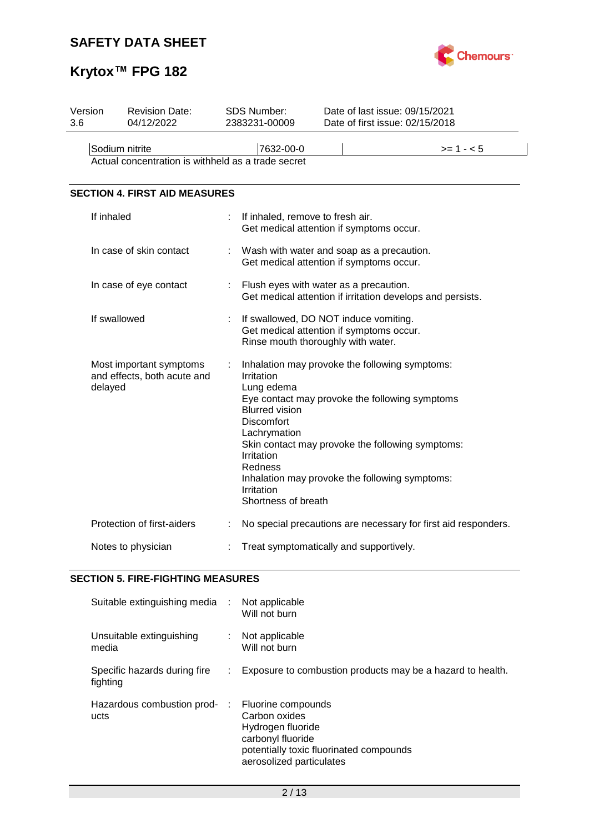

# **Krytox™ FPG 182**

| Version<br>3.6 | <b>Revision Date:</b><br>04/12/2022                                  |   | SDS Number:<br>2383231-00009                                                                                                                         | Date of last issue: 09/15/2021<br>Date of first issue: 02/15/2018                                                                                                                                      |  |  |  |
|----------------|----------------------------------------------------------------------|---|------------------------------------------------------------------------------------------------------------------------------------------------------|--------------------------------------------------------------------------------------------------------------------------------------------------------------------------------------------------------|--|--|--|
|                | Sodium nitrite<br>Actual concentration is withheld as a trade secret |   | 7632-00-0                                                                                                                                            | $>= 1 - 5$                                                                                                                                                                                             |  |  |  |
|                | <b>SECTION 4. FIRST AID MEASURES</b>                                 |   |                                                                                                                                                      |                                                                                                                                                                                                        |  |  |  |
|                | If inhaled                                                           |   | If inhaled, remove to fresh air.                                                                                                                     | Get medical attention if symptoms occur.                                                                                                                                                               |  |  |  |
|                | In case of skin contact                                              | t |                                                                                                                                                      | Wash with water and soap as a precaution.<br>Get medical attention if symptoms occur.                                                                                                                  |  |  |  |
|                | In case of eye contact                                               | ÷ | Flush eyes with water as a precaution.<br>Get medical attention if irritation develops and persists.                                                 |                                                                                                                                                                                                        |  |  |  |
|                | If swallowed                                                         |   |                                                                                                                                                      | If swallowed, DO NOT induce vomiting.<br>Get medical attention if symptoms occur.<br>Rinse mouth thoroughly with water.                                                                                |  |  |  |
|                | Most important symptoms<br>and effects, both acute and<br>delayed    |   | Irritation<br>Lung edema<br><b>Blurred vision</b><br><b>Discomfort</b><br>Lachrymation<br>Irritation<br>Redness<br>Irritation<br>Shortness of breath | Inhalation may provoke the following symptoms:<br>Eye contact may provoke the following symptoms<br>Skin contact may provoke the following symptoms:<br>Inhalation may provoke the following symptoms: |  |  |  |
|                | Protection of first-aiders                                           | ÷ |                                                                                                                                                      | No special precautions are necessary for first aid responders.                                                                                                                                         |  |  |  |
|                | Notes to physician                                                   |   |                                                                                                                                                      | Treat symptomatically and supportively.                                                                                                                                                                |  |  |  |

## **SECTION 5. FIRE-FIGHTING MEASURES**

| Suitable extinguishing media :           |   | Not applicable<br>Will not burn                                                                                                                      |
|------------------------------------------|---|------------------------------------------------------------------------------------------------------------------------------------------------------|
| Unsuitable extinguishing<br>media        | ÷ | Not applicable<br>Will not burn                                                                                                                      |
| Specific hazards during fire<br>fighting |   | Exposure to combustion products may be a hazard to health.                                                                                           |
| Hazardous combustion prod- :<br>ucts     |   | Fluorine compounds<br>Carbon oxides<br>Hydrogen fluoride<br>carbonyl fluoride<br>potentially toxic fluorinated compounds<br>aerosolized particulates |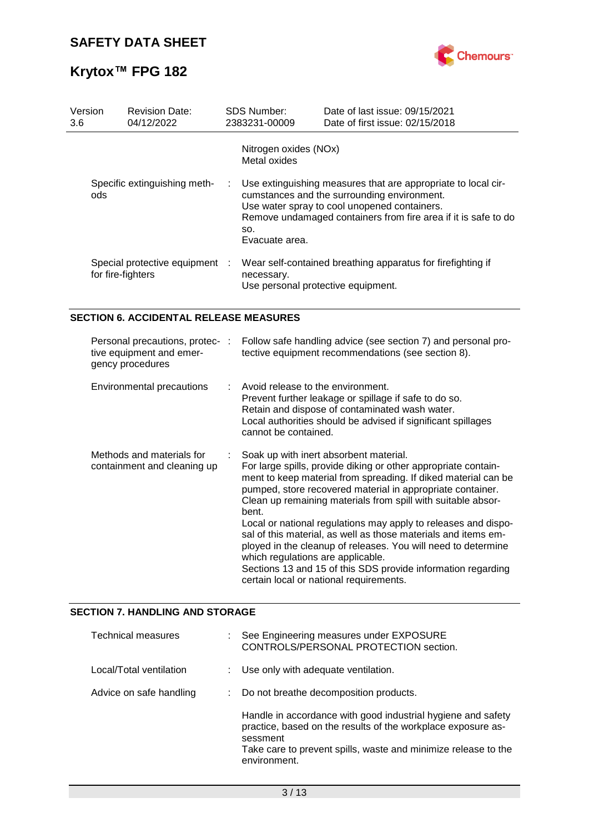

| Version<br>3.6                      | <b>Revision Date:</b><br>04/12/2022                 |    | <b>SDS Number:</b><br>2383231-00009                                                                                                                                                                                                                     | Date of last issue: 09/15/2021<br>Date of first issue: 02/15/2018 |  |
|-------------------------------------|-----------------------------------------------------|----|---------------------------------------------------------------------------------------------------------------------------------------------------------------------------------------------------------------------------------------------------------|-------------------------------------------------------------------|--|
|                                     |                                                     |    | Nitrogen oxides (NOx)<br>Metal oxides                                                                                                                                                                                                                   |                                                                   |  |
| Specific extinguishing meth-<br>ods |                                                     | ÷. | Use extinguishing measures that are appropriate to local cir-<br>cumstances and the surrounding environment.<br>Use water spray to cool unopened containers.<br>Remove undamaged containers from fire area if it is safe to do<br>SO.<br>Evacuate area. |                                                                   |  |
|                                     | Special protective equipment :<br>for fire-fighters |    | necessary.<br>Use personal protective equipment.                                                                                                                                                                                                        | Wear self-contained breathing apparatus for firefighting if       |  |

### **SECTION 6. ACCIDENTAL RELEASE MEASURES**

| Personal precautions, protec-:<br>tive equipment and emer-<br>gency procedures | Follow safe handling advice (see section 7) and personal pro-<br>tective equipment recommendations (see section 8).                                                                                                                                                                                                                                                                                                                                                                                                                                                                                                                                                    |
|--------------------------------------------------------------------------------|------------------------------------------------------------------------------------------------------------------------------------------------------------------------------------------------------------------------------------------------------------------------------------------------------------------------------------------------------------------------------------------------------------------------------------------------------------------------------------------------------------------------------------------------------------------------------------------------------------------------------------------------------------------------|
| Environmental precautions                                                      | $\therefore$ Avoid release to the environment.<br>Prevent further leakage or spillage if safe to do so.<br>Retain and dispose of contaminated wash water.<br>Local authorities should be advised if significant spillages<br>cannot be contained.                                                                                                                                                                                                                                                                                                                                                                                                                      |
| Methods and materials for<br>containment and cleaning up                       | Soak up with inert absorbent material.<br>For large spills, provide diking or other appropriate contain-<br>ment to keep material from spreading. If diked material can be<br>pumped, store recovered material in appropriate container.<br>Clean up remaining materials from spill with suitable absor-<br>bent.<br>Local or national regulations may apply to releases and dispo-<br>sal of this material, as well as those materials and items em-<br>ployed in the cleanup of releases. You will need to determine<br>which regulations are applicable.<br>Sections 13 and 15 of this SDS provide information regarding<br>certain local or national requirements. |

### **SECTION 7. HANDLING AND STORAGE**

| Technical measures      | : See Engineering measures under EXPOSURE<br>CONTROLS/PERSONAL PROTECTION section.                                                                                                                                         |  |
|-------------------------|----------------------------------------------------------------------------------------------------------------------------------------------------------------------------------------------------------------------------|--|
| Local/Total ventilation | : Use only with adequate ventilation.                                                                                                                                                                                      |  |
| Advice on safe handling | : Do not breathe decomposition products.                                                                                                                                                                                   |  |
|                         | Handle in accordance with good industrial hygiene and safety<br>practice, based on the results of the workplace exposure as-<br>sessment<br>Take care to prevent spills, waste and minimize release to the<br>environment. |  |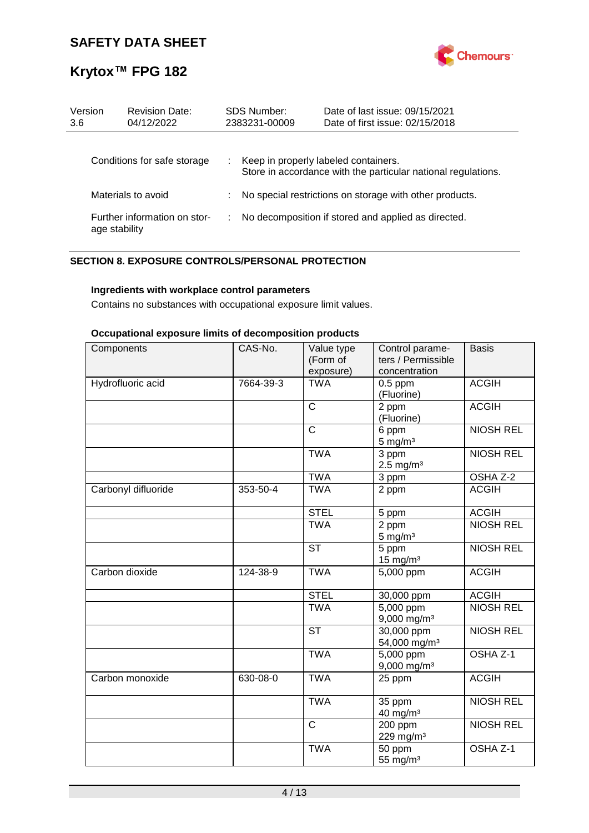

| Version<br>3.6     | <b>Revision Date:</b><br>04/12/2022           | <b>SDS Number:</b><br>2383231-00009                           | Date of last issue: 09/15/2021<br>Date of first issue: 02/15/2018                                     |  |  |
|--------------------|-----------------------------------------------|---------------------------------------------------------------|-------------------------------------------------------------------------------------------------------|--|--|
|                    |                                               |                                                               |                                                                                                       |  |  |
|                    | Conditions for safe storage                   | t.                                                            | Keep in properly labeled containers.<br>Store in accordance with the particular national regulations. |  |  |
| Materials to avoid |                                               | No special restrictions on storage with other products.<br>t. |                                                                                                       |  |  |
|                    | Further information on stor-<br>age stability |                                                               | No decomposition if stored and applied as directed.                                                   |  |  |

### **SECTION 8. EXPOSURE CONTROLS/PERSONAL PROTECTION**

### **Ingredients with workplace control parameters**

Contains no substances with occupational exposure limit values.

### **Occupational exposure limits of decomposition products**

| Components          | CAS-No.   | Value type<br>(Form of<br>exposure) | Control parame-<br>ters / Permissible<br>concentration | <b>Basis</b>     |
|---------------------|-----------|-------------------------------------|--------------------------------------------------------|------------------|
| Hydrofluoric acid   | 7664-39-3 | <b>TWA</b>                          | $0.5$ ppm<br>(Fluorine)                                | <b>ACGIH</b>     |
|                     |           | $\mathsf{C}$                        | 2 ppm<br>(Fluorine)                                    | <b>ACGIH</b>     |
|                     |           | $\mathsf{C}$                        | 6 ppm<br>$5$ mg/m <sup>3</sup>                         | <b>NIOSH REL</b> |
|                     |           | <b>TWA</b>                          | 3 ppm<br>$2.5 \text{ mg/m}^3$                          | <b>NIOSH REL</b> |
|                     |           | <b>TWA</b>                          | 3 ppm                                                  | OSHA Z-2         |
| Carbonyl difluoride | 353-50-4  | <b>TWA</b>                          | 2 ppm                                                  | <b>ACGIH</b>     |
|                     |           | <b>STEL</b>                         | 5 ppm                                                  | <b>ACGIH</b>     |
|                     |           | <b>TWA</b>                          | 2 ppm<br>$5 \text{ mg/m}^3$                            | <b>NIOSH REL</b> |
|                     |           | <b>ST</b>                           | 5 ppm<br>$15 \text{ mg/m}^3$                           | <b>NIOSH REL</b> |
| Carbon dioxide      | 124-38-9  | <b>TWA</b>                          | 5,000 ppm                                              | <b>ACGIH</b>     |
|                     |           | <b>STEL</b>                         | 30,000 ppm                                             | <b>ACGIH</b>     |
|                     |           | <b>TWA</b>                          | $\overline{5,000}$ ppm<br>9,000 mg/m <sup>3</sup>      | <b>NIOSH REL</b> |
|                     |           | <b>ST</b>                           | 30,000 ppm<br>54,000 mg/m <sup>3</sup>                 | <b>NIOSH REL</b> |
|                     |           | <b>TWA</b>                          | 5,000 ppm<br>$9,000$ mg/m <sup>3</sup>                 | OSHA Z-1         |
| Carbon monoxide     | 630-08-0  | <b>TWA</b>                          | 25 ppm                                                 | <b>ACGIH</b>     |
|                     |           | <b>TWA</b>                          | 35 ppm<br>40 mg/m <sup>3</sup>                         | <b>NIOSH REL</b> |
|                     |           | $\mathsf{C}$                        | 200 ppm<br>229 mg/m <sup>3</sup>                       | <b>NIOSH REL</b> |
|                     |           | <b>TWA</b>                          | 50 ppm<br>55 mg/m <sup>3</sup>                         | OSHA Z-1         |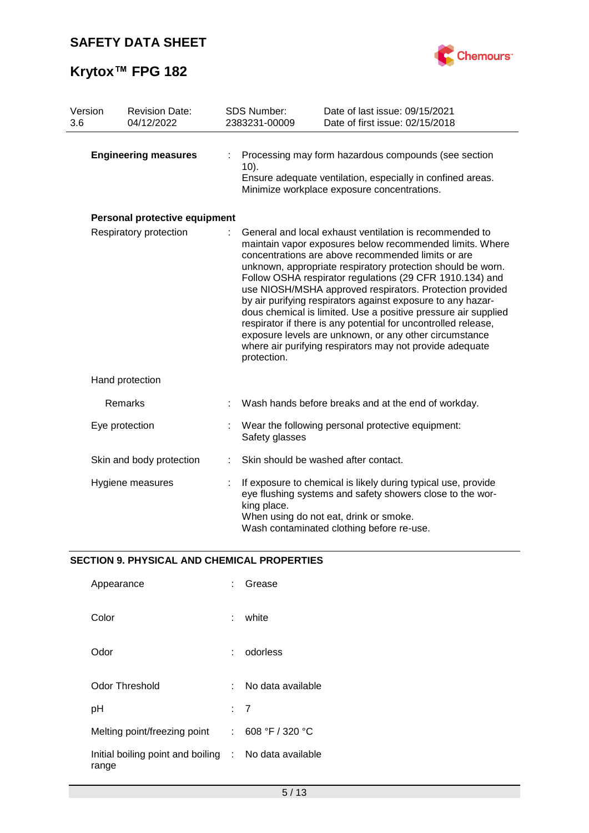

| Version<br>3.6 |                             | <b>Revision Date:</b><br>04/12/2022 | SDS Number:<br>2383231-00009                                                                                                                                                                                                                                                                                                                                                                                                                                                                                                                                                                                                                                                                             | Date of last issue: 09/15/2021<br>Date of first issue: 02/15/2018                                                                                                                                                 |  |
|----------------|-----------------------------|-------------------------------------|----------------------------------------------------------------------------------------------------------------------------------------------------------------------------------------------------------------------------------------------------------------------------------------------------------------------------------------------------------------------------------------------------------------------------------------------------------------------------------------------------------------------------------------------------------------------------------------------------------------------------------------------------------------------------------------------------------|-------------------------------------------------------------------------------------------------------------------------------------------------------------------------------------------------------------------|--|
|                | <b>Engineering measures</b> |                                     | Processing may form hazardous compounds (see section<br>$10$ ).<br>Ensure adequate ventilation, especially in confined areas.<br>Minimize workplace exposure concentrations.                                                                                                                                                                                                                                                                                                                                                                                                                                                                                                                             |                                                                                                                                                                                                                   |  |
|                |                             | Personal protective equipment       |                                                                                                                                                                                                                                                                                                                                                                                                                                                                                                                                                                                                                                                                                                          |                                                                                                                                                                                                                   |  |
|                | Respiratory protection      |                                     | General and local exhaust ventilation is recommended to<br>maintain vapor exposures below recommended limits. Where<br>concentrations are above recommended limits or are<br>unknown, appropriate respiratory protection should be worn.<br>Follow OSHA respirator regulations (29 CFR 1910.134) and<br>use NIOSH/MSHA approved respirators. Protection provided<br>by air purifying respirators against exposure to any hazar-<br>dous chemical is limited. Use a positive pressure air supplied<br>respirator if there is any potential for uncontrolled release,<br>exposure levels are unknown, or any other circumstance<br>where air purifying respirators may not provide adequate<br>protection. |                                                                                                                                                                                                                   |  |
|                |                             | Hand protection                     |                                                                                                                                                                                                                                                                                                                                                                                                                                                                                                                                                                                                                                                                                                          |                                                                                                                                                                                                                   |  |
|                |                             | Remarks                             |                                                                                                                                                                                                                                                                                                                                                                                                                                                                                                                                                                                                                                                                                                          | Wash hands before breaks and at the end of workday.                                                                                                                                                               |  |
|                |                             | Eye protection                      | Safety glasses                                                                                                                                                                                                                                                                                                                                                                                                                                                                                                                                                                                                                                                                                           | Wear the following personal protective equipment:                                                                                                                                                                 |  |
|                |                             | Skin and body protection            |                                                                                                                                                                                                                                                                                                                                                                                                                                                                                                                                                                                                                                                                                                          | Skin should be washed after contact.                                                                                                                                                                              |  |
|                |                             | Hygiene measures                    | king place.                                                                                                                                                                                                                                                                                                                                                                                                                                                                                                                                                                                                                                                                                              | If exposure to chemical is likely during typical use, provide<br>eye flushing systems and safety showers close to the wor-<br>When using do not eat, drink or smoke.<br>Wash contaminated clothing before re-use. |  |

## **SECTION 9. PHYSICAL AND CHEMICAL PROPERTIES**

| Appearance                                                     |     | : Grease          |
|----------------------------------------------------------------|-----|-------------------|
| Color                                                          | t.  | white             |
| Odor                                                           | t.  | odorless          |
| Odor Threshold                                                 | × 1 | No data available |
| рH                                                             |     | : 7               |
| Melting point/freezing point                                   |     | : 608 °F / 320 °C |
| Initial boiling point and boiling : No data available<br>range |     |                   |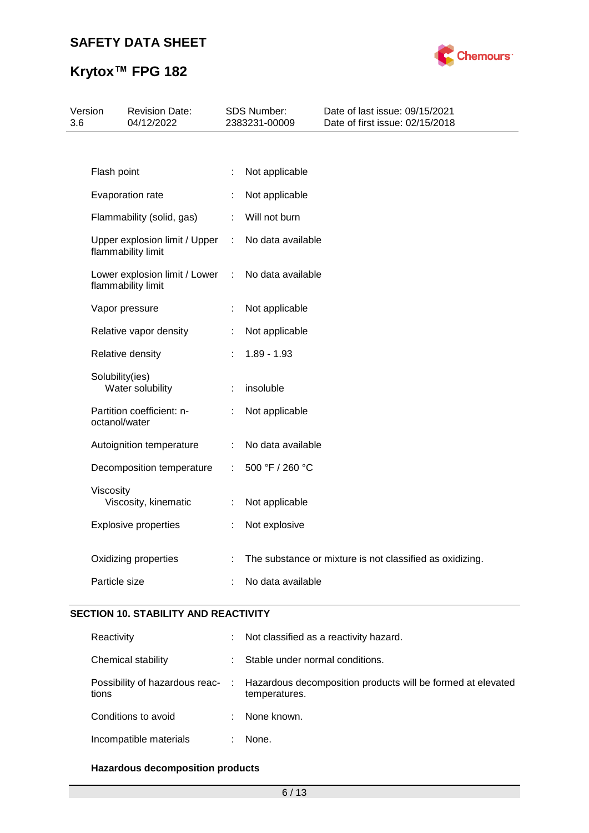

| Version<br>3.6 |                 | <b>Revision Date:</b><br>04/12/2022                 |   | SDS Number:<br>2383231-00009 | Date of last issue: 09/15/2021<br>Date of first issue: 02/15/2018 |
|----------------|-----------------|-----------------------------------------------------|---|------------------------------|-------------------------------------------------------------------|
|                |                 |                                                     |   |                              |                                                                   |
|                | Flash point     |                                                     |   | Not applicable               |                                                                   |
|                |                 | Evaporation rate                                    | ÷ | Not applicable               |                                                                   |
|                |                 | Flammability (solid, gas)                           | ÷ | Will not burn                |                                                                   |
|                |                 | Upper explosion limit / Upper<br>flammability limit | ÷ | No data available            |                                                                   |
|                |                 | Lower explosion limit / Lower<br>flammability limit | ÷ | No data available            |                                                                   |
|                |                 | Vapor pressure                                      | ÷ | Not applicable               |                                                                   |
|                |                 | Relative vapor density                              | ÷ | Not applicable               |                                                                   |
|                |                 | Relative density                                    |   | $1.89 - 1.93$                |                                                                   |
|                | Solubility(ies) | Water solubility                                    | ÷ | insoluble                    |                                                                   |
|                | octanol/water   | Partition coefficient: n-                           | ÷ | Not applicable               |                                                                   |
|                |                 | Autoignition temperature                            |   | No data available            |                                                                   |
|                |                 | Decomposition temperature                           | ÷ | 500 °F / 260 °C              |                                                                   |
|                | Viscosity       | Viscosity, kinematic                                | ÷ | Not applicable               |                                                                   |
|                |                 | <b>Explosive properties</b>                         |   | Not explosive                |                                                                   |
|                |                 | Oxidizing properties                                |   |                              | The substance or mixture is not classified as oxidizing.          |
|                | Particle size   |                                                     |   | No data available            |                                                                   |

### **SECTION 10. STABILITY AND REACTIVITY**

| Reactivity             |    | Not classified as a reactivity hazard.                                                                        |
|------------------------|----|---------------------------------------------------------------------------------------------------------------|
| Chemical stability     | ÷. | Stable under normal conditions.                                                                               |
| tions                  |    | Possibility of hazardous reac- : Hazardous decomposition products will be formed at elevated<br>temperatures. |
| Conditions to avoid    |    | None known.                                                                                                   |
| Incompatible materials |    | None.                                                                                                         |

### **Hazardous decomposition products**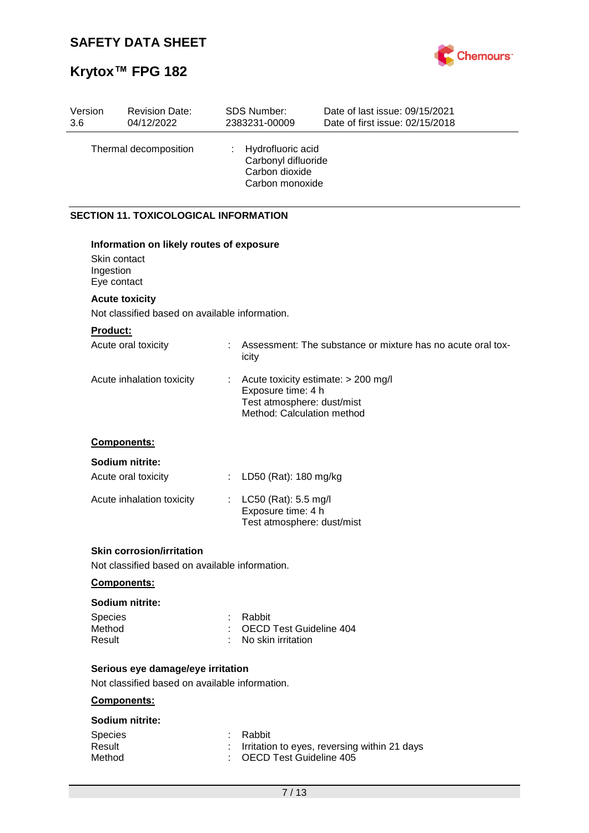# **Krytox™ FPG 182**



| Version<br>3.6 |                                          | <b>Revision Date:</b><br>04/12/2022                                                |    | <b>SDS Number:</b><br>2383231-00009                                                                                   | Date of last issue: 09/15/2021<br>Date of first issue: 02/15/2018 |
|----------------|------------------------------------------|------------------------------------------------------------------------------------|----|-----------------------------------------------------------------------------------------------------------------------|-------------------------------------------------------------------|
|                |                                          | Thermal decomposition                                                              |    | Hydrofluoric acid<br>Carbonyl difluoride<br>Carbon dioxide<br>Carbon monoxide                                         |                                                                   |
|                |                                          | <b>SECTION 11. TOXICOLOGICAL INFORMATION</b>                                       |    |                                                                                                                       |                                                                   |
|                | Skin contact<br>Ingestion<br>Eye contact | Information on likely routes of exposure                                           |    |                                                                                                                       |                                                                   |
|                |                                          | <b>Acute toxicity</b>                                                              |    |                                                                                                                       |                                                                   |
|                |                                          | Not classified based on available information.                                     |    |                                                                                                                       |                                                                   |
|                | <b>Product:</b>                          |                                                                                    |    |                                                                                                                       |                                                                   |
|                |                                          | Acute oral toxicity                                                                |    | icity                                                                                                                 | Assessment: The substance or mixture has no acute oral tox-       |
|                |                                          | Acute inhalation toxicity                                                          |    | Acute toxicity estimate: > 200 mg/l<br>Exposure time: 4 h<br>Test atmosphere: dust/mist<br>Method: Calculation method |                                                                   |
|                |                                          | <b>Components:</b>                                                                 |    |                                                                                                                       |                                                                   |
|                |                                          | Sodium nitrite:                                                                    |    |                                                                                                                       |                                                                   |
|                |                                          | Acute oral toxicity                                                                | t. | LD50 (Rat): 180 mg/kg                                                                                                 |                                                                   |
|                |                                          | Acute inhalation toxicity                                                          | t. | LC50 (Rat): 5.5 mg/l<br>Exposure time: 4 h<br>Test atmosphere: dust/mist                                              |                                                                   |
|                |                                          | <b>Skin corrosion/irritation</b><br>Not classified based on available information. |    |                                                                                                                       |                                                                   |
|                |                                          | <b>Components:</b>                                                                 |    |                                                                                                                       |                                                                   |

### **Sodium nitrite:**

| <b>Species</b> | : Rabbit                  |
|----------------|---------------------------|
| Method         | : OECD Test Guideline 404 |
| Result         | : No skin irritation      |

## **Serious eye damage/eye irritation**

Not classified based on available information.

### **Components:**

### **Sodium nitrite:**

| <b>Species</b> | : Rabbit                                       |
|----------------|------------------------------------------------|
| Result         | : Irritation to eyes, reversing within 21 days |
| Method         | : OECD Test Guideline 405                      |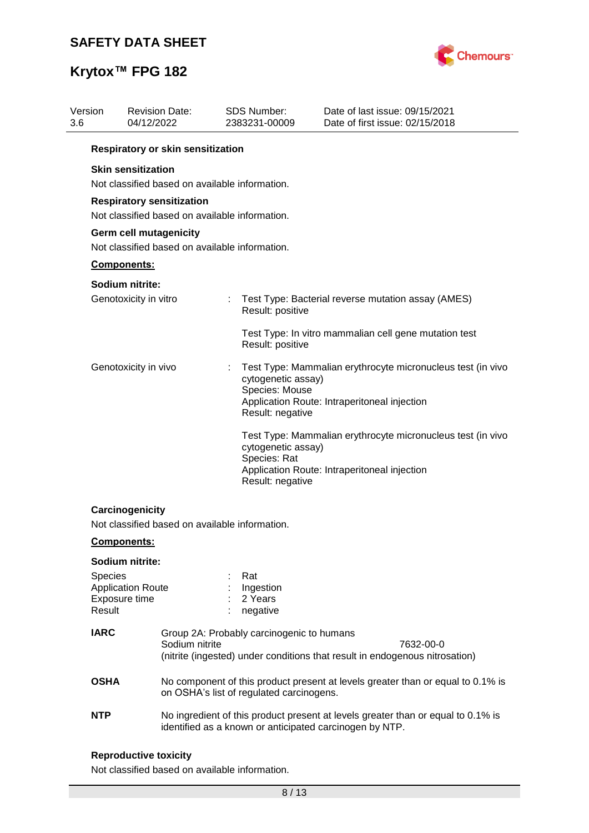

| 3.6 | Version     | <b>Revision Date:</b><br>04/12/2022 |                | <b>SDS Number:</b><br>2383231-00009                      | Date of last issue: 09/15/2021<br>Date of first issue: 02/15/2018                                           |
|-----|-------------|-------------------------------------|----------------|----------------------------------------------------------|-------------------------------------------------------------------------------------------------------------|
|     |             | Respiratory or skin sensitization   |                |                                                          |                                                                                                             |
|     |             | <b>Skin sensitization</b>           |                | Not classified based on available information.           |                                                                                                             |
|     |             | <b>Respiratory sensitization</b>    |                | Not classified based on available information.           |                                                                                                             |
|     |             | Germ cell mutagenicity              |                | Not classified based on available information.           |                                                                                                             |
|     |             | Components:                         |                |                                                          |                                                                                                             |
|     |             | Sodium nitrite:                     |                |                                                          |                                                                                                             |
|     |             | Genotoxicity in vitro               |                | Result: positive                                         | Test Type: Bacterial reverse mutation assay (AMES)                                                          |
|     |             |                                     |                | Result: positive                                         | Test Type: In vitro mammalian cell gene mutation test                                                       |
|     |             | Genotoxicity in vivo                |                | cytogenetic assay)<br>Species: Mouse<br>Result: negative | Test Type: Mammalian erythrocyte micronucleus test (in vivo<br>Application Route: Intraperitoneal injection |
|     |             |                                     |                | cytogenetic assay)<br>Species: Rat<br>Result: negative   | Test Type: Mammalian erythrocyte micronucleus test (in vivo<br>Application Route: Intraperitoneal injection |
|     |             | Carcinogenicity                     |                |                                                          |                                                                                                             |
|     |             | <b>Components:</b>                  |                | Not classified based on available information.           |                                                                                                             |
|     |             | Sodium nitrite:                     |                |                                                          |                                                                                                             |
|     | Species     |                                     |                | Rat                                                      |                                                                                                             |
|     |             | <b>Application Route</b>            |                | Ingestion                                                |                                                                                                             |
|     | Result      | Exposure time                       |                | 2 Years<br>negative                                      |                                                                                                             |
|     | <b>IARC</b> |                                     | Sodium nitrite | Group 2A: Probably carcinogenic to humans                | 7632-00-0<br>(nitrite (ingested) under conditions that result in endogenous nitrosation)                    |
|     | <b>OSHA</b> |                                     |                | on OSHA's list of regulated carcinogens.                 | No component of this product present at levels greater than or equal to 0.1% is                             |
|     | <b>NTP</b>  |                                     |                | identified as a known or anticipated carcinogen by NTP.  | No ingredient of this product present at levels greater than or equal to 0.1% is                            |

## **Reproductive toxicity**

Not classified based on available information.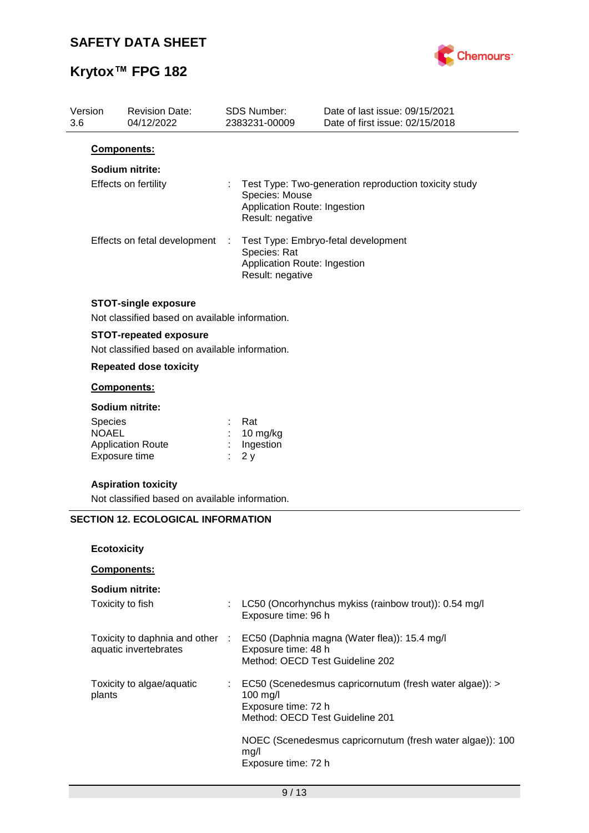

| Version<br>3.6 | <b>Revision Date:</b><br>04/12/2022                                             |                | <b>SDS Number:</b><br>2383231-00009                                | Date of last issue: 09/15/2021<br>Date of first issue: 02/15/2018 |
|----------------|---------------------------------------------------------------------------------|----------------|--------------------------------------------------------------------|-------------------------------------------------------------------|
|                | Components:                                                                     |                |                                                                    |                                                                   |
|                | Sodium nitrite:                                                                 |                |                                                                    |                                                                   |
|                | Effects on fertility                                                            |                | Species: Mouse<br>Application Route: Ingestion<br>Result: negative | Test Type: Two-generation reproduction toxicity study             |
|                | Effects on fetal development                                                    | $\mathbb{Z}^2$ | Species: Rat<br>Application Route: Ingestion<br>Result: negative   | Test Type: Embryo-fetal development                               |
|                | <b>STOT-single exposure</b><br>Not classified based on available information.   |                |                                                                    |                                                                   |
|                | <b>STOT-repeated exposure</b><br>Not classified based on available information. |                |                                                                    |                                                                   |
|                | <b>Repeated dose toxicity</b>                                                   |                |                                                                    |                                                                   |
|                | Components:                                                                     |                |                                                                    |                                                                   |
|                | Sodium nitrite:                                                                 |                |                                                                    |                                                                   |
|                | Species<br><b>NOAEL</b><br><b>Application Route</b><br>Exposure time            |                | Rat<br>10 mg/kg<br>Ingestion<br>2y                                 |                                                                   |
|                | <b>Aspiration toxicity</b><br>Not classified based on available information.    |                |                                                                    |                                                                   |
|                | <b>SECTION 12. ECOLOGICAL INFORMATION</b>                                       |                |                                                                    |                                                                   |
|                | <b>Ecotoxicity</b>                                                              |                |                                                                    |                                                                   |
|                | Components:                                                                     |                |                                                                    |                                                                   |
|                | Sodium nitrite:                                                                 |                |                                                                    |                                                                   |
|                | Toxicity to fish                                                                |                | Exposure time: 96 h                                                | LC50 (Oncorhynchus mykiss (rainbow trout)): 0.54 mg/l             |
|                | Toxicity to daphnia and other<br>aquatic invertebrates                          | $\sim$ 1.      | Exposure time: 48 h<br>Method: OECD Test Guideline 202             | EC50 (Daphnia magna (Water flea)): 15.4 mg/l                      |
|                | Toxicity to algae/aquatic<br>plants                                             |                | 100 mg/l<br>Exposure time: 72 h<br>Method: OECD Test Guideline 201 | EC50 (Scenedesmus capricornutum (fresh water algae)): >           |
|                |                                                                                 |                | mg/l<br>Exposure time: 72 h                                        | NOEC (Scenedesmus capricornutum (fresh water algae)): 100         |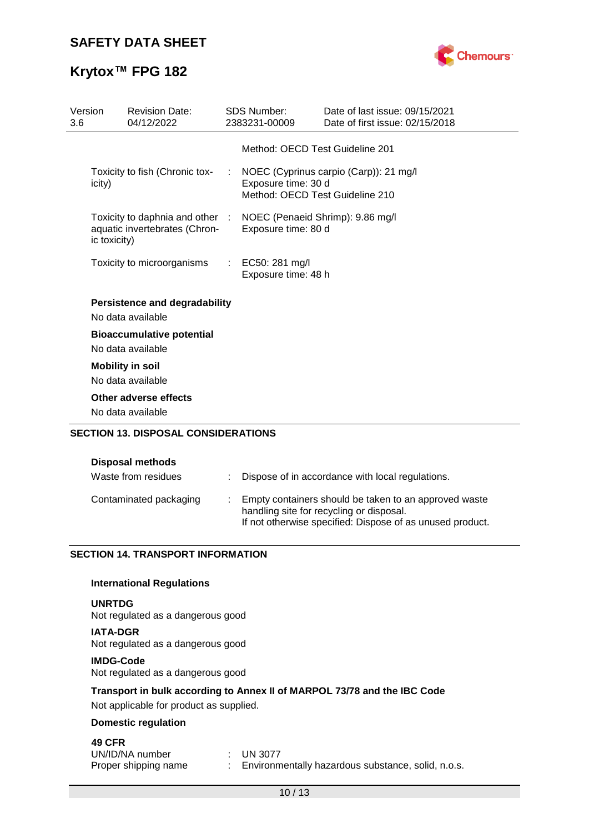

| Version<br>3.6 |              | <b>Revision Date:</b><br>04/12/2022                                                               |   | <b>SDS Number:</b><br>2383231-00009                    | Date of last issue: 09/15/2021<br>Date of first issue: 02/15/2018 |
|----------------|--------------|---------------------------------------------------------------------------------------------------|---|--------------------------------------------------------|-------------------------------------------------------------------|
|                |              |                                                                                                   |   | Method: OECD Test Guideline 201                        |                                                                   |
|                | icity)       | Toxicity to fish (Chronic tox-                                                                    | ÷ | Exposure time: 30 d<br>Method: OECD Test Guideline 210 | NOEC (Cyprinus carpio (Carp)): 21 mg/l                            |
|                | ic toxicity) | Toxicity to daphnia and other : NOEC (Penaeid Shrimp): 9.86 mg/l<br>aquatic invertebrates (Chron- |   | Exposure time: 80 d                                    |                                                                   |
|                |              | Toxicity to microorganisms                                                                        |   | : EC50: 281 mg/l<br>Exposure time: 48 h                |                                                                   |
|                |              | <b>Persistence and degradability</b><br>No data available                                         |   |                                                        |                                                                   |
|                |              | <b>Bioaccumulative potential</b><br>No data available                                             |   |                                                        |                                                                   |
|                |              | <b>Mobility in soil</b><br>No data available                                                      |   |                                                        |                                                                   |
|                |              | Other adverse effects<br>No data available                                                        |   |                                                        |                                                                   |
|                |              | <b>SECTION 13. DISPOSAL CONSIDERATIONS</b>                                                        |   |                                                        |                                                                   |

| <b>Disposal methods</b> |
|-------------------------|
|-------------------------|

| Waste from residues    | : Dispose of in accordance with local regulations.                                                                                                             |
|------------------------|----------------------------------------------------------------------------------------------------------------------------------------------------------------|
| Contaminated packaging | Empty containers should be taken to an approved waste<br>handling site for recycling or disposal.<br>If not otherwise specified: Dispose of as unused product. |

### **SECTION 14. TRANSPORT INFORMATION**

### **International Regulations**

### **UNRTDG**

Not regulated as a dangerous good

**IATA-DGR** Not regulated as a dangerous good

### **IMDG-Code**

Not regulated as a dangerous good

### **Transport in bulk according to Annex II of MARPOL 73/78 and the IBC Code**

Not applicable for product as supplied.

### **Domestic regulation**

### **49 CFR**

| UN/ID/NA number      | $\therefore$ UN 3077                               |
|----------------------|----------------------------------------------------|
| Proper shipping name | Environmentally hazardous substance, solid, n.o.s. |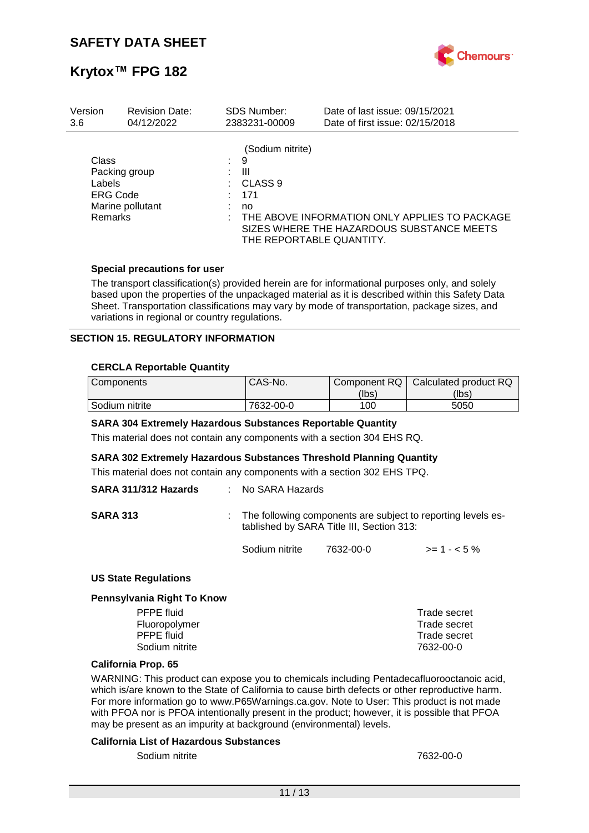

| Version                                              | <b>Revision Date:</b>             |    | <b>SDS Number:</b>                                                                        | Date of last issue: 09/15/2021                                                             |
|------------------------------------------------------|-----------------------------------|----|-------------------------------------------------------------------------------------------|--------------------------------------------------------------------------------------------|
| 3.6                                                  | 04/12/2022                        |    | 2383231-00009                                                                             | Date of first issue: 02/15/2018                                                            |
| Class<br>Labels<br><b>ERG Code</b><br><b>Remarks</b> | Packing group<br>Marine pollutant | ÷. | (Sodium nitrite)<br>9<br>Ш<br>CLASS <sub>9</sub><br>171<br>no<br>THE REPORTABLE QUANTITY. | THE ABOVE INFORMATION ONLY APPLIES TO PACKAGE<br>SIZES WHERE THE HAZARDOUS SUBSTANCE MEETS |

### **Special precautions for user**

The transport classification(s) provided herein are for informational purposes only, and solely based upon the properties of the unpackaged material as it is described within this Safety Data Sheet. Transportation classifications may vary by mode of transportation, package sizes, and variations in regional or country regulations.

### **SECTION 15. REGULATORY INFORMATION**

### **CERCLA Reportable Quantity**

| Components     | CAS-No.   | Component RQ | Calculated product RQ |
|----------------|-----------|--------------|-----------------------|
|                |           | (lbs)        | (lbs)                 |
| Sodium nitrite | 7632-00-0 | 100          | 5050                  |

### **SARA 304 Extremely Hazardous Substances Reportable Quantity**

This material does not contain any components with a section 304 EHS RQ.

### **SARA 302 Extremely Hazardous Substances Threshold Planning Quantity**

This material does not contain any components with a section 302 EHS TPQ.

| SARA 311/312 Hazards | : No SARA Hazards |                                           |                                                                |
|----------------------|-------------------|-------------------------------------------|----------------------------------------------------------------|
| <b>SARA 313</b>      |                   | tablished by SARA Title III, Section 313: | : The following components are subject to reporting levels es- |
|                      | Sodium nitrite    | 7632-00-0                                 | $>= 1 - 5\%$                                                   |

### **US State Regulations**

#### **Pennsylvania Right To Know**

| PFPE fluid     | Trade secret |
|----------------|--------------|
| Fluoropolymer  | Trade secret |
| PFPE fluid     | Trade secret |
| Sodium nitrite | 7632-00-0    |
|                |              |

### **California Prop. 65**

WARNING: This product can expose you to chemicals including Pentadecafluorooctanoic acid, which is/are known to the State of California to cause birth defects or other reproductive harm. For more information go to www.P65Warnings.ca.gov. Note to User: This product is not made with PFOA nor is PFOA intentionally present in the product; however, it is possible that PFOA may be present as an impurity at background (environmental) levels.

### **California List of Hazardous Substances**

Sodium nitrite 7632-00-0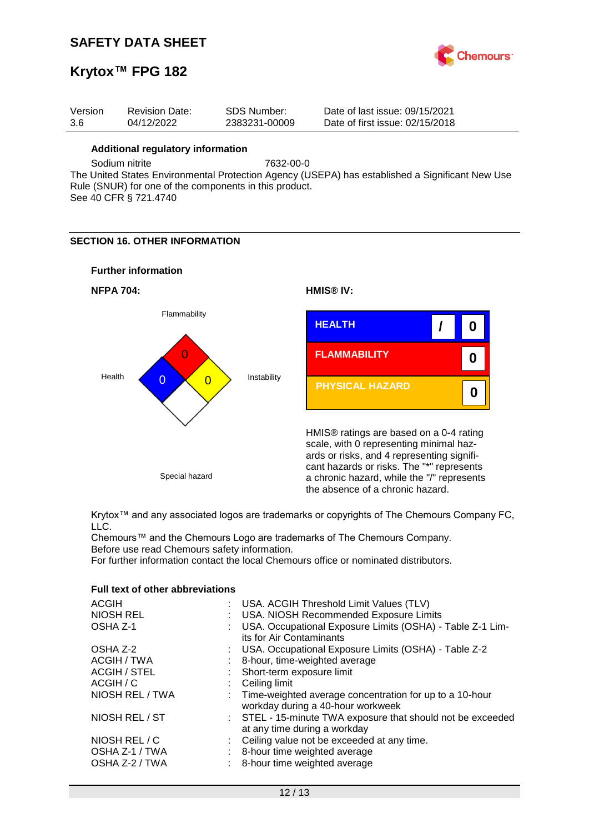

## **Krytox™ FPG 182**

|  | Date of last issue: 09/15/2021<br>SDS Number:<br>Version<br><b>Revision Date:</b><br>04/12/2022<br>Date of first issue: 02/15/2018<br>-3.6<br>2383231-00009 |
|--|-------------------------------------------------------------------------------------------------------------------------------------------------------------|
|--|-------------------------------------------------------------------------------------------------------------------------------------------------------------|

### **Additional regulatory information**

Sodium nitrite 7632-00-0

The United States Environmental Protection Agency (USEPA) has established a Significant New Use Rule (SNUR) for one of the components in this product. See 40 CFR § 721.4740

### **SECTION 16. OTHER INFORMATION**

### **Further information**





Krytox™ and any associated logos are trademarks or copyrights of The Chemours Company FC, LLC.

Chemours™ and the Chemours Logo are trademarks of The Chemours Company. Before use read Chemours safety information.

For further information contact the local Chemours office or nominated distributors.

### **Full text of other abbreviations**

| <b>ACGIH</b>        | : USA. ACGIH Threshold Limit Values (TLV)                                                      |
|---------------------|------------------------------------------------------------------------------------------------|
| <b>NIOSH REL</b>    | USA. NIOSH Recommended Exposure Limits                                                         |
| OSHA Z-1            | USA. Occupational Exposure Limits (OSHA) - Table Z-1 Lim-<br>its for Air Contaminants          |
|                     |                                                                                                |
| OSHA Z-2            | : USA. Occupational Exposure Limits (OSHA) - Table Z-2                                         |
| ACGIH / TWA         | 8-hour, time-weighted average                                                                  |
| <b>ACGIH / STEL</b> | : Short-term exposure limit                                                                    |
| ACGIH / C           | Ceiling limit                                                                                  |
| NIOSH REL / TWA     | : Time-weighted average concentration for up to a 10-hour<br>workday during a 40-hour workweek |
| NIOSH REL / ST      | : STEL - 15-minute TWA exposure that should not be exceeded<br>at any time during a workday    |
| NIOSH REL / C       | : Ceiling value not be exceeded at any time.                                                   |
| OSHA Z-1 / TWA      | 8-hour time weighted average                                                                   |
| OSHA Z-2 / TWA      | 8-hour time weighted average                                                                   |